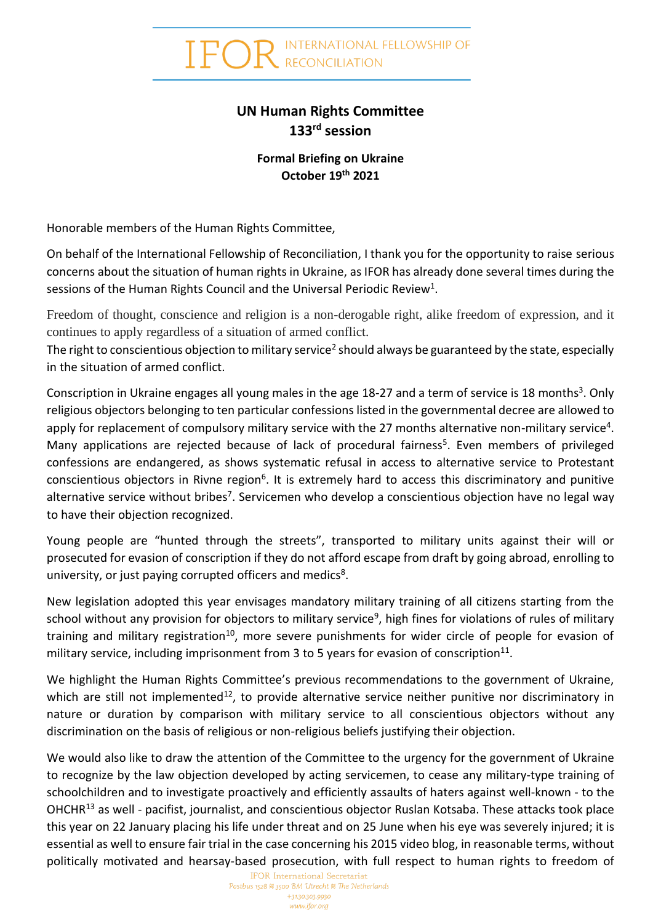**INTERNATIONAL FELLOWSHIP OF** RECONCILIATION

## **UN Human Rights Committee 133rd session**

## **Formal Briefing on Ukraine October 19th 2021**

Honorable members of the Human Rights Committee,

On behalf of the International Fellowship of Reconciliation, I thank you for the opportunity to raise serious concerns about the situation of human rights in Ukraine, as IFOR has already done several times during the sessions of the Human Rights Council and the Universal Periodic Review<sup>1</sup>.

Freedom of thought, conscience and religion is a non-derogable right, alike freedom of expression, and it continues to apply regardless of a situation of armed conflict.

The right to conscientious objection to military service<sup>2</sup> should always be guaranteed by the state, especially in the situation of armed conflict.

Conscription in Ukraine engages all young males in the age 18-27 and a term of service is 18 months<sup>3</sup>. Only religious objectors belonging to ten particular confessions listed in the governmental decree are allowed to apply for replacement of compulsory military service with the 27 months alternative non-military service<sup>4</sup>. Many applications are rejected because of lack of procedural fairness<sup>5</sup>. Even members of privileged confessions are endangered, as shows systematic refusal in access to alternative service to Protestant conscientious objectors in Rivne region<sup>6</sup>. It is extremely hard to access this discriminatory and punitive alternative service without bribes<sup>7</sup>. Servicemen who develop a conscientious objection have no legal way to have their objection recognized.

Young people are "hunted through the streets", transported to military units against their will or prosecuted for evasion of conscription if they do not afford escape from draft by going abroad, enrolling to university, or just paying corrupted officers and medics<sup>8</sup>.

New legislation adopted this year envisages mandatory military training of all citizens starting from the school without any provision for objectors to military service<sup>9</sup>, high fines for violations of rules of military training and military registration<sup>10</sup>, more severe punishments for wider circle of people for evasion of military service, including imprisonment from 3 to 5 years for evasion of conscription<sup>11</sup>.

We highlight the Human Rights Committee's previous recommendations to the government of Ukraine, which are still not implemented<sup>12</sup>, to provide alternative service neither punitive nor discriminatory in nature or duration by comparison with military service to all conscientious objectors without any discrimination on the basis of religious or non-religious beliefs justifying their objection.

We would also like to draw the attention of the Committee to the urgency for the government of Ukraine to recognize by the law objection developed by acting servicemen, to cease any military-type training of schoolchildren and to investigate proactively and efficiently assaults of haters against well-known - to the OHCHR<sup>13</sup> as well - pacifist, journalist, and conscientious objector Ruslan Kotsaba. These attacks took place this year on 22 January placing his life under threat and on 25 June when his eye was severely injured; it is essential as well to ensure fair trial in the case concerning his 2015 video blog, in reasonable terms, without politically motivated and hearsay-based prosecution, with full respect to human rights to freedom of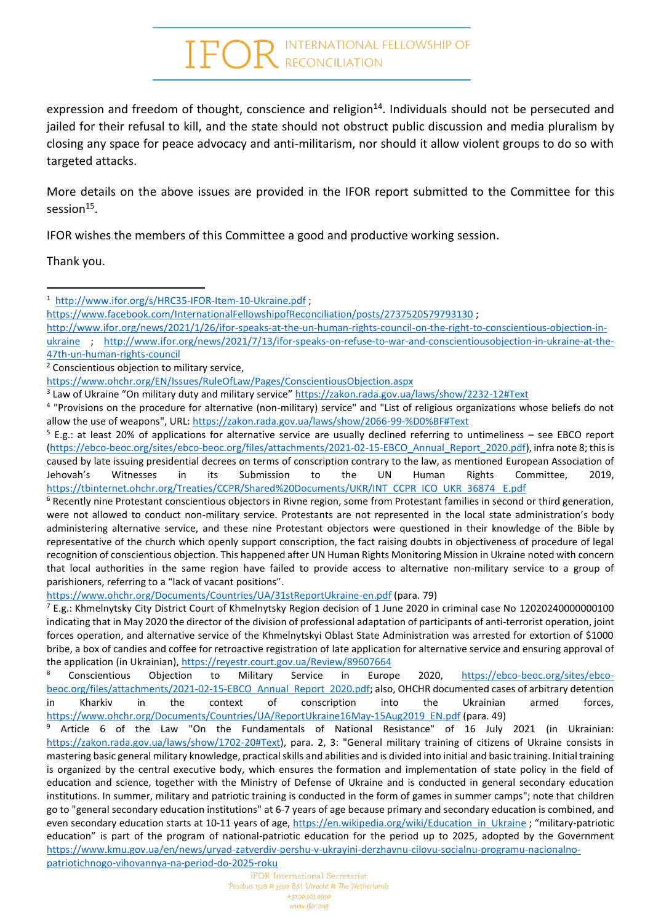## $\text{FOR}^{\text{INTERNATIONAL FELLOWSHIP OF}}$

expression and freedom of thought, conscience and religion<sup>14</sup>. Individuals should not be persecuted and jailed for their refusal to kill, and the state should not obstruct public discussion and media pluralism by closing any space for peace advocacy and anti-militarism, nor should it allow violent groups to do so with targeted attacks.

More details on the above issues are provided in the IFOR report submitted to the Committee for this  $s$ ession $^{15}$ .

IFOR wishes the members of this Committee a good and productive working session.

Thank you.

[http://www.ifor.org/news/2021/1/26/ifor-speaks-at-the-un-human-rights-council-on-the-right-to-conscientious-objection-in-](http://www.ifor.org/news/2021/1/26/ifor-speaks-at-the-un-human-rights-council-on-the-right-to-conscientious-objection-in-ukraine)

<https://www.ohchr.org/Documents/Countries/UA/31stReportUkraine-en.pdf> (para. 79)

<sup>7</sup> E.g.: Khmelnytsky City District Court of Khmelnytsky Region decision of 1 June 2020 in criminal case No 12020240000000100 indicating that in May 2020 the director of the division of professional adaptation of participants of anti-terrorist operation, joint forces operation, and alternative service of the Khmelnytskyi Oblast State Administration was arrested for extortion of \$1000 bribe, a box of candies and coffee for retroactive registration of late application for alternative service and ensuring approval of the application (in Ukrainian)[, https://reyestr.court.gov.ua/Review/89607664](https://reyestr.court.gov.ua/Review/89607664)

<sup>8</sup> Conscientious Objection to Military Service in Europe 2020, [https://ebco-beoc.org/sites/ebco](https://ebco-beoc.org/sites/ebco-beoc.org/files/attachments/2021-02-15-EBCO_Annual_Report_2020.pdf)[beoc.org/files/attachments/2021-02-15-EBCO\\_Annual\\_Report\\_2020.pdf;](https://ebco-beoc.org/sites/ebco-beoc.org/files/attachments/2021-02-15-EBCO_Annual_Report_2020.pdf) also, OHCHR documented cases of arbitrary detention in Kharkiv in the context of conscription into the Ukrainian armed forces, [https://www.ohchr.org/Documents/Countries/UA/ReportUkraine16May-15Aug2019\\_EN.pdf](https://www.ohchr.org/Documents/Countries/UA/ReportUkraine16May-15Aug2019_EN.pdf) (para. 49)

<sup>9</sup> Article 6 of the Law "On the Fundamentals of National Resistance" of 16 July 2021 (in Ukrainian: [https://zakon.rada.gov.ua/laws/show/1702-20#Text\)](https://zakon.rada.gov.ua/laws/show/1702-20#Text), para. 2, 3: "General military training of citizens of Ukraine consists in mastering basic general military knowledge, practical skills and abilities and is divided into initial and basic training. Initial training is organized by the central executive body, which ensures the formation and implementation of state policy in the field of education and science, together with the Ministry of Defense of Ukraine and is conducted in general secondary education institutions. In summer, military and patriotic training is conducted in the form of games in summer camps"; note that children go to "general secondary education institutions" at 6-7 years of age because primary and secondary education is combined, and even secondary education starts at 10-11 years of age, [https://en.wikipedia.org/wiki/Education\\_in\\_Ukraine](https://en.wikipedia.org/wiki/Education_in_Ukraine) ; "military-patriotic education" is part of the program of national-patriotic education for the period up to 2025, adopted by the Government [https://www.kmu.gov.ua/en/news/uryad-zatverdiv-pershu-v-ukrayini-derzhavnu-cilovu-socialnu-programu-nacionalno](https://www.kmu.gov.ua/en/news/uryad-zatverdiv-pershu-v-ukrayini-derzhavnu-cilovu-socialnu-programu-nacionalno-patriotichnogo-vihovannya-na-period-do-2025-roku)[patriotichnogo-vihovannya-na-period-do-2025-roku](https://www.kmu.gov.ua/en/news/uryad-zatverdiv-pershu-v-ukrayini-derzhavnu-cilovu-socialnu-programu-nacionalno-patriotichnogo-vihovannya-na-period-do-2025-roku)

<sup>&</sup>lt;sup>1</sup><http://www.ifor.org/s/HRC35-IFOR-Item-10-Ukraine.pdf>;

<https://www.facebook.com/InternationalFellowshipofReconciliation/posts/2737520579793130>;

[ukraine](http://www.ifor.org/news/2021/1/26/ifor-speaks-at-the-un-human-rights-council-on-the-right-to-conscientious-objection-in-ukraine) ; [http://www.ifor.org/news/2021/7/13/ifor-speaks-on-refuse-to-war-and-conscientiousobjection-in-ukraine-at-the-](http://www.ifor.org/news/2021/7/13/ifor-speaks-on-refuse-to-war-and-conscientiousobjection-in-ukraine-at-the-47th-un-human-rights-council)[47th-un-human-rights-council](http://www.ifor.org/news/2021/7/13/ifor-speaks-on-refuse-to-war-and-conscientiousobjection-in-ukraine-at-the-47th-un-human-rights-council)

<sup>&</sup>lt;sup>2</sup> Conscientious objection to military service,

<https://www.ohchr.org/EN/Issues/RuleOfLaw/Pages/ConscientiousObjection.aspx>

<sup>&</sup>lt;sup>3</sup> Law of Ukraine "On military duty and military service" <https://zakon.rada.gov.ua/laws/show/2232-12#Text>

<sup>4</sup> "Provisions on the procedure for alternative (non-military) service" and "List of religious organizations whose beliefs do not allow the use of weapons", URL: <https://zakon.rada.gov.ua/laws/show/2066-99-%D0%BF#Text>

 $5$  E.g.: at least 20% of applications for alternative service are usually declined referring to untimeliness – see EBCO report [\(https://ebco-beoc.org/sites/ebco-beoc.org/files/attachments/2021-02-15-EBCO\\_Annual\\_Report\\_2020.pdf\)](https://ebco-beoc.org/sites/ebco-beoc.org/files/attachments/2021-02-15-EBCO_Annual_Report_2020.pdf), infra note 8; this is caused by late issuing presidential decrees on terms of conscription contrary to the law, as mentioned European Association of Jehovah's Witnesses in its Submission to the UN Human Rights Committee, 2019, [https://tbinternet.ohchr.org/Treaties/CCPR/Shared%20Documents/UKR/INT\\_CCPR\\_ICO\\_UKR\\_36874 \\_E.pdf](https://tbinternet.ohchr.org/Treaties/CCPR/Shared%20Documents/UKR/INT_CCPR_ICO_UKR_36874%20_E.pdf)

 $6$  Recently nine Protestant conscientious objectors in Rivne region, some from Protestant families in second or third generation, were not allowed to conduct non-military service. Protestants are not represented in the local state administration's body administering alternative service, and these nine Protestant objectors were questioned in their knowledge of the Bible by representative of the church which openly support conscription, the fact raising doubts in objectiveness of procedure of legal recognition of conscientious objection. This happened after UN Human Rights Monitoring Mission in Ukraine noted with concern that local authorities in the same region have failed to provide access to alternative non-military service to a group of parishioners, referring to a "lack of vacant positions".